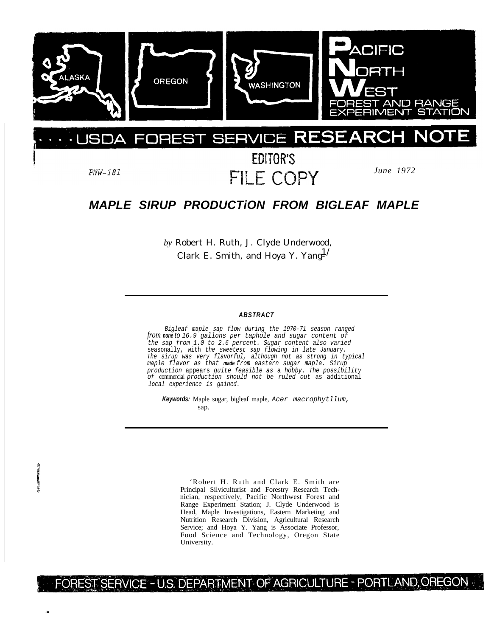

#### $E$ **SERVIO** F JSDA F

 $PNW-181$ 

EDITOR'S FILE COPY

*June 1972*

# *MAPLE SIRUP PRODUCTiON FROM BIGLEAF MAPLE*

*by* Robert H. Ruth, J. Clyde Underwood, Clark E. Smith, and Hoya Y. Yang $^{1/}$ 

#### *ABSTRACT*

*Bigleaf maple sap flow during the 1970-71 season ranged from none to 16.9 gallons per taphole and sugar content of the sap from 1.0 to 2.6 percent. Sugar content also varied* seasonally, with *the sweetest sap flowing in late January. The sirup was very flavorful, although not as strong in typical maple flavor as that made from eastern sugar maple. Sirup production* appears *quite feasible as* a *hobby. The possibility of* commercial *production should not be ruled out* as additional *local experience is gained.*

*Keywords:* Maple sugar, bigleaf maple, *Acer macrophytllum,* sap.

'Robert H. Ruth and Clark E. Smith are Principal Silviculturist and Forestry Research Technician, respectively, Pacific Northwest Forest and Range Experiment Station; J. Clyde Underwood is Head, Maple Investigations, Eastern Marketing and Nutrition Research Division, Agricultural Research Service; and Hoya Y. Yang is Associate Professor, Food Science and Technology, Oregon State University.

# FOREST SERVICE - U.S. DEPARTMENT OF AGRICULTURE - PORTLAND, OREGON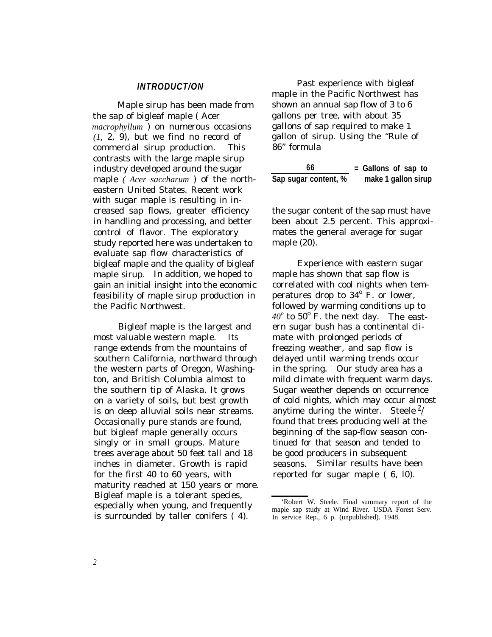#### *lNTRODUCT/ON*

Maple sirup has been made from the sap of bigleaf maple ( Acer *macrophyllum* ) on numerous occasions *(1,* 2, 9), but we find no record of commercial sirup production. This contrasts with the large maple sirup industry developed around the sugar maple *( Acer saccharum* ) of the northeastern United States. Recent work with sugar maple is resulting in increased sap flows, greater efficiency in handling and processing, and better control of flavor. The exploratory study reported here was undertaken to evaluate sap flow characteristics of bigleaf maple and the quality of bigleaf maple sirup. In addition, we hoped to gain an initial insight into the economic feasibility of maple sirup production in the Pacific Northwest.

Bigleaf maple is the largest and most valuable western maple. Its range extends from the mountains of southern California, northward through the western parts of Oregon, Washington, and British Columbia almost to the southern tip of Alaska. It grows on a variety of soils, but best growth is on deep alluvial soils near streams. Occasionally pure stands are found, but bigleaf maple generally occurs singly or in small groups. Mature trees average about 50 feet tall and 18 inches in diameter. Growth is rapid for the first 40 to 60 years, with maturity reached at 150 years or more. Bigleaf maple is a tolerant species, especially when young, and frequently is surrounded by taller conifers ( 4).

Past experience with bigleaf maple in the Pacific Northwest has shown an annual sap flow of 3 to 6 gallons per tree, with about 35 gallons of sap required to make 1 gallon of sirup. Using the "Rule of 86" formula

**66 = Gallons of sap to Sap sugar content, % make 1 gallon sirup**

the sugar content of the sap must have been about 2.5 percent. This approximates the general average for sugar maple (20).

Experience with eastern sugar maple has shown that sap flow is correlated with cool nights when temperatures drop to  $34^{\circ}$  F. or lower, followed by warming conditions up to  $40^\circ$  to  $50^\circ$  F. the next day. The eastern sugar bush has a continental climate with prolonged periods of freezing weather, and sap flow is delayed until warming trends occur in the spring. Our study area has a mild climate with frequent warm days. Sugar weather depends on occurrence of cold nights, which may occur almost anytime during the winter. Steele  $\frac{2}{l}$ found that trees producing well at the beginning of the sap-flow season continued for that season and tended to be good producers in subsequent seasons. Similar results have been reported for sugar maple ( 6, l0).

<sup>&#</sup>x27;Robert W. Steele. Final summary report of the maple sap study at Wind River. USDA Forest Serv. In service Rep., 6 p. (unpublished). 1948.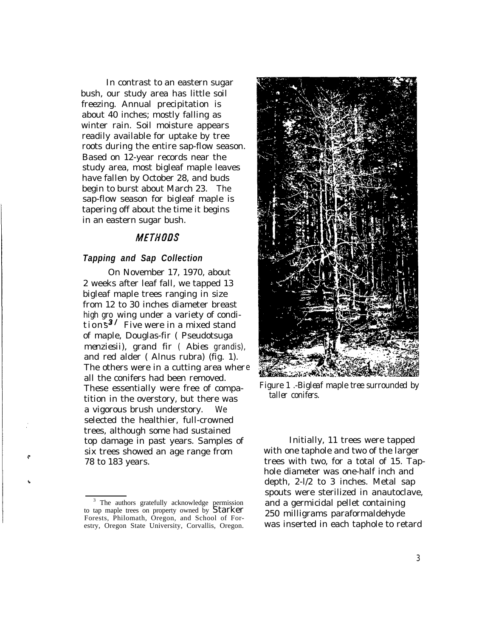In contrast to an eastern sugar bush, our study area has little soil freezing. Annual precipitation is about 40 inches; mostly falling as winter rain. Soil moisture appears readily available for uptake by tree roots during the entire sap-flow season. Based on 12-year records near the study area, most bigleaf maple leaves have fallen by October 28, and buds begin to burst about March 23. The sap-flow season for bigleaf maple is tapering off about the time it begins in an eastern sugar bush.

### **METHODS**

#### *Tapping and Sap Collection*

On November 17, 1970, about 2 weeks after leaf fall, we tapped 13 bigleaf maple trees ranging in size from 12 to 30 inches diameter breast high gro wing under a variety of conditions<sup>3</sup>/ Five were in a mixed stand of maple, Douglas-fir ( Pseudotsuga *menziesii),* grand fir *( Abies grandis),* and red alder ( Alnus rubra) (fig. 1). The others were in a cutting area wher e all the conifers had been removed. These essentially were free of compatition in the overstory, but there was a vigorous brush understory. We selected the healthier, full-crowned trees, although some had sustained top damage in past years. Samples of six trees showed an age range from *78* to 183 years.



*Figure 1 .-Bigleaf maple tree surrounded by taller conifers.*

Initially, 11 trees were tapped with one taphole and two of the larger trees with two, for a total of 15. Taphole diameter was one-half inch and depth, 2-l/2 to 3 inches. Metal sap spouts were sterilized in anautoclave, and a germicidal pellet containing 250 milligrams paraformaldehyde was inserted in each taphole to retard

<sup>&</sup>lt;sup>3</sup> The authors gratefully acknowledge permission to tap maple trees on property owned by **Starker** Forests, Philomath, Oregon, and School of Forestry, Oregon State University, Corvallis, Oregon.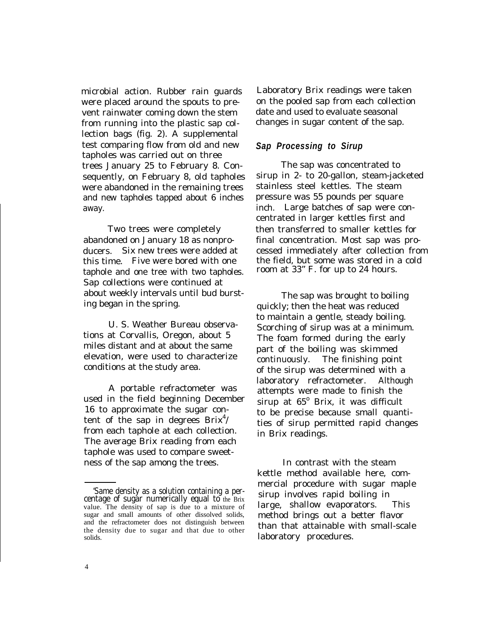microbial action. Rubber rain guards were placed around the spouts to prevent rainwater coming down the stem from running into the plastic sap collection bags (fig. 2). A supplemental test comparing flow from old and new tapholes was carried out on three trees January 25 to February 8. Consequently, on February 8, old tapholes were abandoned in the remaining trees and new tapholes tapped about 6 inches away.

Two trees were completely abandoned on January 18 as nonproducers. Six new trees were added at this time. Five were bored with one taphole and one tree with two tapholes. Sap collections were continued at about weekly intervals until bud bursting began in the spring.

U. S. Weather Bureau observations at Corvallis, Oregon, about 5 miles distant and at about the same elevation, were used to characterize conditions at the study area.

A portable refractometer was used in the field beginning December 16 to approximate the sugar content of the sap in degrees  $Brix<sup>4</sup>/$ from each taphole at each collection. The average Brix reading from each taphole was used to compare sweetness of the sap among the trees.

Laboratory Brix readings were taken on the pooled sap from each collection date and used to evaluate seasonal changes in sugar content of the sap.

#### *Sap Processing to Sirup*

The sap was concentrated to sirup in 2- to 20-gallon, steam-jacketed stainless steel kettles. The steam pressure was 55 pounds per square inch. Large batches of sap were concentrated in larger kettles first and then transferred to smaller kettles for final concentration. Most sap was processed immediately after collection from the field, but some was stored in a cold room at 33" F. for up to 24 hours.

The sap was brought to boiling quickly; then the heat was reduced to maintain a gentle, steady boiling. Scorching of sirup was at a minimum. The foam formed during the early part of the boiling was skimmed continuously. The finishing point of the sirup was determined with a laboratory refractometer. Although attempts were made to finish the sirup at 65° Brix, it was difficult to be precise because small quantities of sirup permitted rapid changes in Brix readings.

In contrast with the steam kettle method available here, commercial procedure with sugar maple sirup involves rapid boiling in large, shallow evaporators. This method brings out a better flavor than that attainable with small-scale laboratory procedures.

<sup>&#</sup>x27;Same density as a solution containing a percentage of sugar numerically equal to the Brix value. The density of sap is due to a mixture of sugar and small amounts of other dissolved solids, and the refractometer does not distinguish between the density due to sugar and that due to other solids.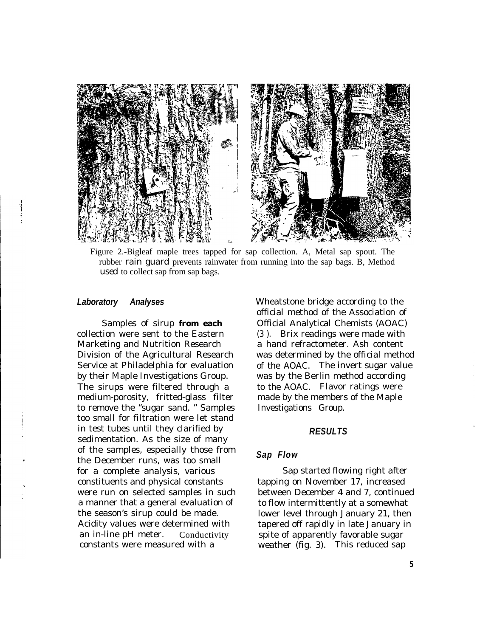

Figure 2.-Bigleaf maple trees tapped for sap collection. A, Metal sap spout. The rubber rain guard prevents rainwater from running into the sap bags. B, Method *used* to collect sap from sap bags.

#### *Laboratory Analyses*

Samples of sirup **from each** collection were sent to the Eastern Marketing and Nutrition Research Division of the Agricultural Research Service at Philadelphia for evaluation by their Maple Investigations Group. The sirups were filtered through a medium-porosity, fritted-glass filter to remove the "sugar sand. " Samples too small for filtration were let stand in test tubes until they clarified by sedimentation. As the size of many of the samples, especially those from the December runs, was too small for a complete analysis, various constituents and physical constants were run on selected samples in such a manner that a general evaluation of the season's sirup could be made. Acidity values were determined with an in-line pH meter. Conductivity constants were measured with a

Wheatstone bridge according to the official method of the Association of Official Analytical Chemists (AOAC) (3 ). Brix readings were made with a hand refractometer. Ash content was determined by the official method of the AOAC. The invert sugar value was by the Berlin method according to the AOAC. Flavor ratings were made by the members of the Maple Investigations Group.

#### *RESULTS*

#### *Sap Flow*

Sap started flowing right after tapping on November 17, increased between December 4 and 7, continued to flow intermittently at a somewhat lower level through January 21, then tapered off rapidly in late January in spite of apparently favorable sugar weather (fig. 3). This reduced sap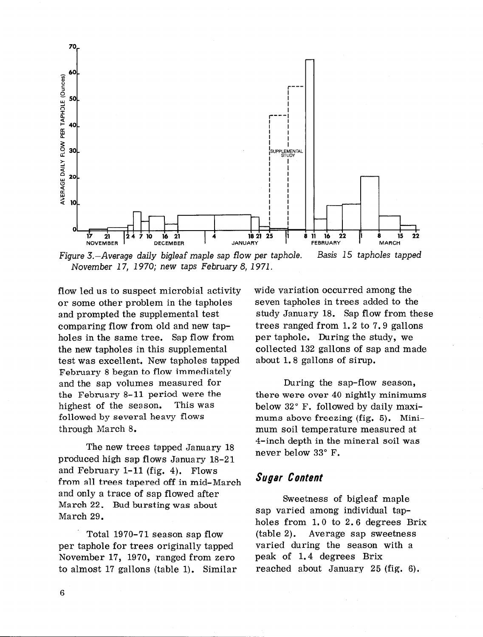

Figure 3.-Average daily bigleaf maple sap ffow per taphole. Basis 15 tapholes tapped November 17, 1970; new taps February 8, 1971.

flow led us to suspect microbial activity or some other problem in the tapholes and prompted the supplemental test comparing flow from old and new tapholes in the same tree. Sap flow from the new tapholes in this supplemental test was excellent. New tapholes tapped February 8 began to flow immediately and the sap volumes measured for the February 8-11 period were the highest of the season. This was followed by several heavy flows through March 8.

The new trees tapped January 18 produced high sap flows January 18-21 and February l-11 (fig. 4). Flows from all trees tapered off in mid-March and only a trace of sap flowed after March 22. Bud bursting was about March 29.

Total 1970-71 season sap flow per taphole for trees originally tapped November 17, 1970, ranged from zero to almost 17 gallons (table 1). Similar wide variation occurred among the seven tapholes in trees added to the study January 18. Sap flow from these trees ranged from 1.2 to 7.9 gallons per taphole. During the study, we collected 132 gallons of sap and made about 1.8 gallons of sirup.

During the sap-flow season, there were over 40 nightly minimums below 32" F. followed by daily maximums above freezing (fig. 5). Minimum soil temperature measured at 4-inch depth in the mineral soil was never below 33" F.

# Sugar Content

Sweetness of bigleaf maple sap varied among individual tapholes from 1.0 to 2.6 degrees Brix (table 2). Average sap sweetness varied during the season with a peak of 1.4 degrees Brix reached about January 25 (fig. 6).

6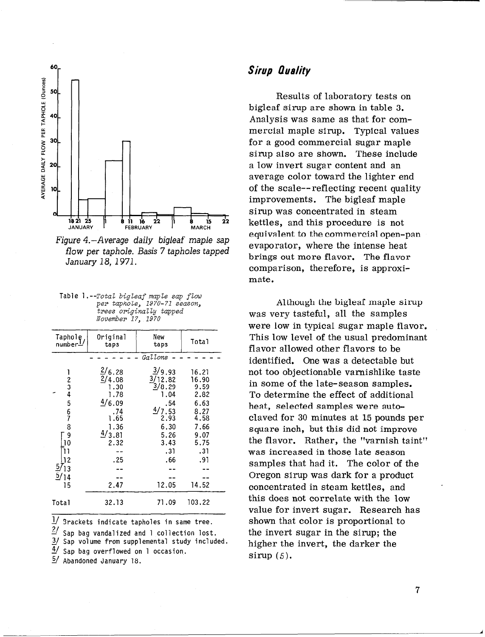

Figure 4.-Average daily bigleaf maple sap flow per taphole. Basis 7 tapholes tapped January 18, 1971.

| Table 1.--Total bigleaf maple sap flow |
|----------------------------------------|
| per taphole, 1970-71 season,           |
| trees originally tapped                |
| November 17, 1970                      |

| Taphole<br>number <sup>1</sup>                                                                    | Original<br>taps                                                                           | New<br>taps                                                                                        | Total                                                                                        |
|---------------------------------------------------------------------------------------------------|--------------------------------------------------------------------------------------------|----------------------------------------------------------------------------------------------------|----------------------------------------------------------------------------------------------|
|                                                                                                   |                                                                                            | Gallons                                                                                            |                                                                                              |
| $\frac{1}{2}$ 3 4<br>5<br>$\frac{6}{7}$<br>8<br>9<br>10<br>12<br>$\frac{57}{1}$<br>$\frac{5}{14}$ | 2/6.28<br>2/4.08<br>1.30<br>1.78<br>4/6.09<br>.74<br>1.65<br>1.36<br>4/3.81<br>2.32<br>.25 | 3/9.93<br>3/12.82<br>3/8.29<br>1.04<br>.54<br>4/7.53<br>2.93<br>6.30<br>5.26<br>3.43<br>.31<br>.66 | 16.21<br>16.90<br>9.59<br>2.82<br>6.63<br>8.27<br>4.58<br>7.66<br>9.07<br>5.75<br>.31<br>.91 |
| 15                                                                                                | 2.47                                                                                       | 12.05                                                                                              | 14.52                                                                                        |
| Total                                                                                             | 32.13                                                                                      | 71.09                                                                                              | 103.22                                                                                       |

 $\frac{1}{2}$  Srackets indicate tapholes in same tree.<br> $\frac{2}{5}$  San bag vandalized and 1 collection lost

Sap bag vandalized and 1 collection lost.

27 Sap volume from supplemental study included.

41 Sap bag overflowed on 1 occasion.

5/ Abandoned January 18.

# Sirup Quality

Results of laboratory tests on bigleaf sirup are shown in table 3. Analysis was same as that for commercial maple sirup. Typical values for a good commercial sugar maple sirup also are shown. These include a low invert sugar content and an average color toward the lighter end of the scale--reflecting recent quality improvements. The bigleaf maple sirup was concentrated in steam kettles, and this procedure is not equivalent to the commercial open-pan evaporator, where the intense heat brings out more flavor. The flavor comparison, therefore, is approximate.

Although the bigleaf maple sirup was very tasteful, all the samples were low in typical sugar maple flavor. This low level of the usual predominant flavor allowed other flavors to be identified. One was a detectable but not too objectionable varnishlike taste in some of the late-season samples. To determine the effect of additional heat, selected samples were autoclaved for 30 minutes at 15 pounds per square inch, but this did not improve the flavor. Rather, the "varnish taint" was increased in those late season samples that had it. The color of the Oregon sirup was dark for a product concentrated in steam kettles, and this does not correlate with the low value for invert sugar. Research has shown that color is proportional to the invert sugar in the sirup; the higher the invert, the darker the sirup  $(5)$ .

A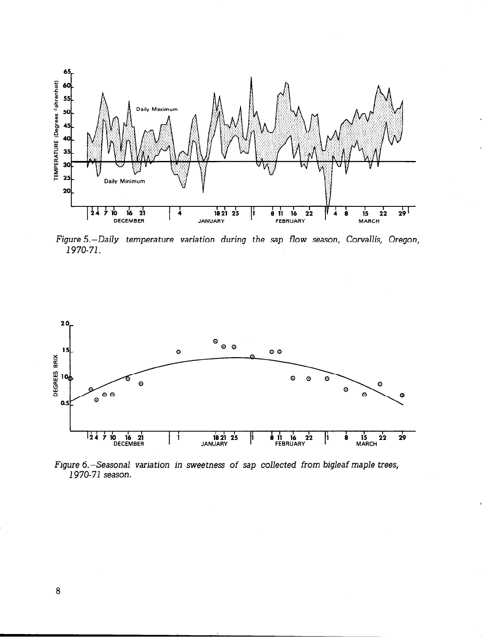

Figure 5.-Daily temperature variation during the sap flow season, Corvallis, Oregon, 1970-71.



Figure 6.-Seasonal variation in sweetness of sap collected from bigleaf maple trees, 1970-71 season.

 $\bf 8$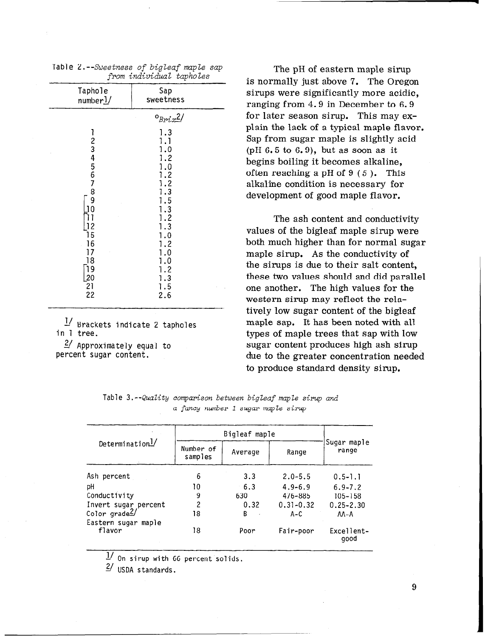|                                          | --ट                                     |
|------------------------------------------|-----------------------------------------|
| Taphole<br>numberl/                      | Sap<br>sweetness                        |
|                                          | $o_{Brix}$ <sup>2</sup> /<br>1.3<br>1.1 |
| 123456789                                | 1.0<br>1.2<br>1.0<br>1.2                |
| $\overline{0}$                           | 1.2<br>1.3<br>1.5<br>1.3                |
| 12<br>15                                 | 1.2<br>1.3<br>1.0                       |
| 16<br>17<br>18<br>19                     | 1.2<br>$\cdot$<br>1.0<br>1.2            |
| $\overline{20}$<br>$\overline{21}$<br>22 | 1.3<br>1.5<br>2.6                       |

Table 2.--Sweetness of bigleaf maple sap from *individual* tapholes

L' Brackets indicate 2 tapholes in 1 tree.

 $2/$  Approximately equal to percent sugar content.

The pH of eastern maple sirup is normally just above 7. The Oregon sirups were significantly more acidic, ranging from 4.9 in December to 6.9 for later season sirup. This may explain the lack of a typical maple flavor. Sap from sugar maple is slightly acid  $(pH 6.5 to 6.9)$ , but as soon as it begins boiling it becomes alkaline, often reaching a pH of  $9(5)$ . This alkaline condition is necessary for development of good maple flavor.

The ash content and conductivity values of the bigleaf maple sirup were both much higher than for normal sugar maple sirup. As the conductivity of the sirups is due to their salt content, these two values should and did parallel one another. The high values for the western sirup may reflect the relatively low sugar content of the bigleaf maple sap. It has been noted with all types of maple trees that sap with low sugar content produces high ash sirup due to the greater concentration needed to produce standard density sirup.

| Table 3.--Quality comparison between bigleaf maple sirup and |                                    |  |  |  |
|--------------------------------------------------------------|------------------------------------|--|--|--|
|                                                              | a fancy number 1 sugar maple sirup |  |  |  |

| Determination <sup>1/</sup>   | Number of<br>samples | Average | Range         | Sugar maple<br>range |  |
|-------------------------------|----------------------|---------|---------------|----------------------|--|
| Ash percent                   | 6                    | 3.3     | $2.0 - 5.5$   | $0.5 - 1.1$          |  |
| рH                            | 10                   | 6.3     | $4.9 - 6.9$   | $6.9 - 7.2$          |  |
| Conductivity                  | 9                    | 630     | 476-885       | 105-158              |  |
| Invert sugar percent          | 2                    | 0.32    | $0.31 - 0.32$ | $0.25 - 2.30$        |  |
| Color $grade2/$               | 18                   | B<br>×. | A-C           | AA-A                 |  |
| Eastern sugar maple<br>flavor | 18                   | Poor    | Fair-poor     | Excellent-<br>good   |  |

 $\frac{1}{\sqrt{2}}$  On sirup with 66 percent solids.

 $\frac{2}{ }$  USDA standards.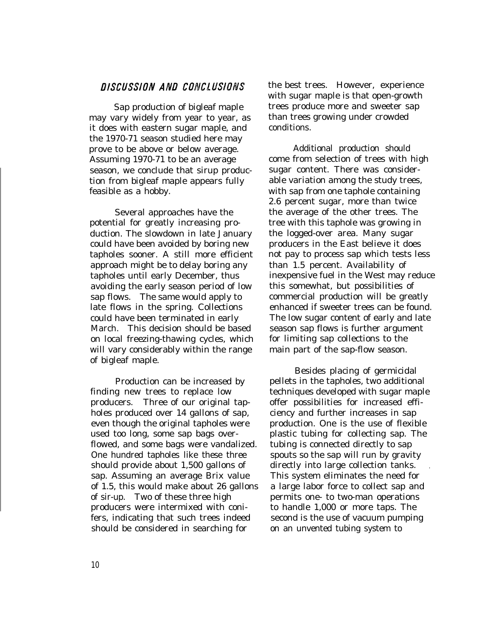### DISCUSSION AND CONCLUSIONS

Sap production of bigleaf maple may vary widely from year to year, as it does with eastern sugar maple, and the 1970-71 season studied here may prove to be above or below average. Assuming 1970-71 to be an average season, we conclude that sirup production from bigleaf maple appears fully feasible as a hobby.

Several approaches have the potential for greatly increasing production. The slowdown in late January could have been avoided by boring new tapholes sooner. A still more efficient approach might be to delay boring any tapholes until early December, thus avoiding the early season period of low sap flows. The same would apply to late flows in the spring. Collections could have been terminated in early March. This decision should be based on local freezing-thawing cycles, which will vary considerably within the range of bigleaf maple.

Production can be increased by finding new trees to replace low producers. Three of our original tapholes produced over 14 gallons of sap, even though the original tapholes were used too long, some sap bags overflowed, and some bags were vandalized. One hundred tapholes like these three should provide about 1,500 gallons of sap. Assuming an average Brix value of 1.5, this would make about 26 gallons of sir-up. Two of these three high producers were intermixed with conifers, indicating that such trees indeed should be considered in searching for

the best trees. However, experience with sugar maple is that open-growth trees produce more and sweeter sap than trees growing under crowded conditions.

Additional production should come from selection of trees with high sugar content. There was considerable variation among the study trees, with sap from one taphole containing 2.6 percent sugar, more than twice the average of the other trees. The tree with this taphole was growing in the logged-over area. Many sugar producers in the East believe it does not pay to process sap which tests less than 1.5 percent. Availability of inexpensive fuel in the West may reduce this somewhat, but possibilities of commercial production will be greatly enhanced if sweeter trees can be found. The low sugar content of early and late season sap flows is further argument for limiting sap collections to the main part of the sap-flow season.

Besides placing of germicidal pellets in the tapholes, two additional techniques developed with sugar maple offer possibilities for increased efficiency and further increases in sap production. One is the use of flexible plastic tubing for collecting sap. The tubing is connected directly to sap spouts so the sap will run by gravity directly into large collection tanks. This system eliminates the need for a large labor force to collect sap and permits one- to two-man operations to handle 1,000 or more taps. The second is the use of vacuum pumping on an unvented tubing system to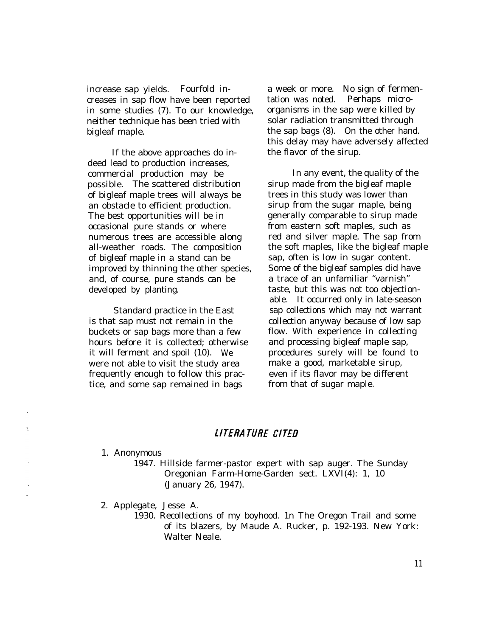increase sap yields. Fourfold increases in sap flow have been reported in some studies (7). To our knowledge, neither technique has been tried with bigleaf maple.

If the above approaches do indeed lead to production increases, commercial production may be possible. The scattered distribution of bigleaf maple trees will always be an obstacle to efficient production. The best opportunities will be in occasional pure stands or where numerous trees are accessible along all-weather roads. The composition of bigleaf maple in a stand can be improved by thinning the other species, and, of course, pure stands can be developed by planting.

Standard practice in the East is that sap must not remain in the buckets or sap bags more than a few hours before it is collected; otherwise it will ferment and spoil (10). We were not able to visit the study area frequently enough to follow this practice, and some sap remained in bags

a week or more. No sign of fermentation was noted. Perhaps microorganisms in the sap were killed by solar radiation transmitted through the sap bags (8). On the other hand. this delay may have adversely affected the flavor of the sirup.

In any event, the quality of the sirup made from the bigleaf maple trees in this study was lower than sirup from the sugar maple, being generally comparable to sirup made from eastern soft maples, such as red and silver maple. The sap from the soft maples, like the bigleaf maple sap, often is low in sugar content. Some of the bigleaf samples did have a trace of an unfamiliar "varnish" taste, but this was not too objectionable. It occurred only in late-season sap collections which may not warrant collection anyway because of low sap flow. With experience in collecting and processing bigleaf maple sap, procedures surely will be found to make a good, marketable sirup, even if its flavor may be different from that of sugar maple.

#### LITERATURE CITED

1. Anonymous

Ÿ.

1947. Hillside farmer-pastor expert with sap auger. The Sunday Oregonian Farm-Home-Garden sect. LXVI(4): 1, 10 (January 26, 1947).

2. Applegate, Jesse A.

1930. Recollections of my boyhood. 1n The Oregon Trail and some of its blazers, by Maude A. Rucker, p. 192-193. New York: Walter Neale.

11